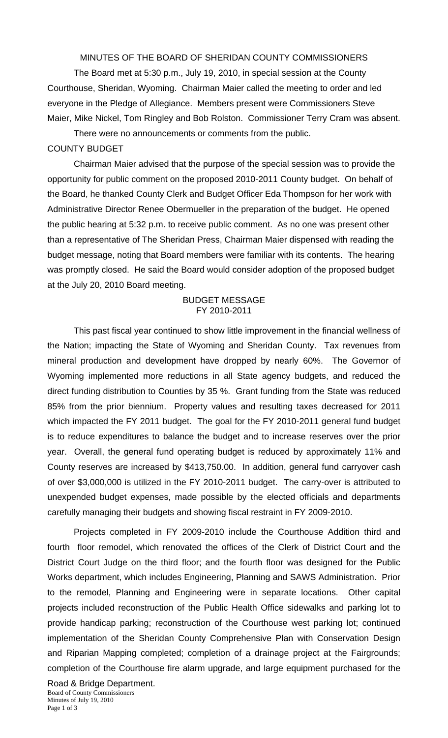MINUTES OF THE BOARD OF SHERIDAN COUNTY COMMISSIONERS

 The Board met at 5:30 p.m., July 19, 2010, in special session at the County Courthouse, Sheridan, Wyoming. Chairman Maier called the meeting to order and led everyone in the Pledge of Allegiance. Members present were Commissioners Steve Maier, Mike Nickel, Tom Ringley and Bob Rolston. Commissioner Terry Cram was absent.

There were no announcements or comments from the public. COUNTY BUDGET

 Chairman Maier advised that the purpose of the special session was to provide the opportunity for public comment on the proposed 2010-2011 County budget. On behalf of the Board, he thanked County Clerk and Budget Officer Eda Thompson for her work with Administrative Director Renee Obermueller in the preparation of the budget. He opened the public hearing at 5:32 p.m. to receive public comment. As no one was present other than a representative of The Sheridan Press, Chairman Maier dispensed with reading the budget message, noting that Board members were familiar with its contents. The hearing was promptly closed. He said the Board would consider adoption of the proposed budget at the July 20, 2010 Board meeting.

## BUDGET MESSAGE FY 2010-2011

This past fiscal year continued to show little improvement in the financial wellness of the Nation; impacting the State of Wyoming and Sheridan County. Tax revenues from mineral production and development have dropped by nearly 60%. The Governor of Wyoming implemented more reductions in all State agency budgets, and reduced the direct funding distribution to Counties by 35 %. Grant funding from the State was reduced 85% from the prior biennium. Property values and resulting taxes decreased for 2011 which impacted the FY 2011 budget. The goal for the FY 2010-2011 general fund budget is to reduce expenditures to balance the budget and to increase reserves over the prior year. Overall, the general fund operating budget is reduced by approximately 11% and County reserves are increased by \$413,750.00. In addition, general fund carryover cash of over \$3,000,000 is utilized in the FY 2010-2011 budget. The carry-over is attributed to unexpended budget expenses, made possible by the elected officials and departments carefully managing their budgets and showing fiscal restraint in FY 2009-2010.

Projects completed in FY 2009-2010 include the Courthouse Addition third and fourth floor remodel, which renovated the offices of the Clerk of District Court and the District Court Judge on the third floor; and the fourth floor was designed for the Public Works department, which includes Engineering, Planning and SAWS Administration. Prior to the remodel, Planning and Engineering were in separate locations. Other capital projects included reconstruction of the Public Health Office sidewalks and parking lot to provide handicap parking; reconstruction of the Courthouse west parking lot; continued implementation of the Sheridan County Comprehensive Plan with Conservation Design and Riparian Mapping completed; completion of a drainage project at the Fairgrounds; completion of the Courthouse fire alarm upgrade, and large equipment purchased for the

Board of County Commissioners Minutes of July 19, 2010 Page 1 of 3 Road & Bridge Department.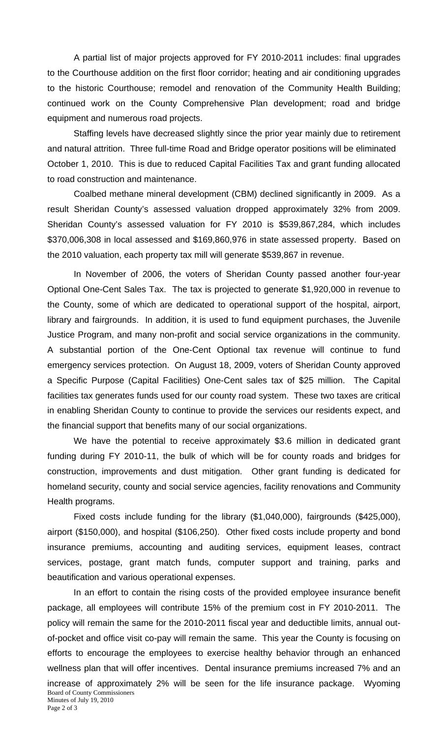A partial list of major projects approved for FY 2010-2011 includes: final upgrades to the Courthouse addition on the first floor corridor; heating and air conditioning upgrades to the historic Courthouse; remodel and renovation of the Community Health Building; continued work on the County Comprehensive Plan development; road and bridge equipment and numerous road projects.

Staffing levels have decreased slightly since the prior year mainly due to retirement and natural attrition. Three full-time Road and Bridge operator positions will be eliminated October 1, 2010. This is due to reduced Capital Facilities Tax and grant funding allocated to road construction and maintenance.

Coalbed methane mineral development (CBM) declined significantly in 2009. As a result Sheridan County's assessed valuation dropped approximately 32% from 2009. Sheridan County's assessed valuation for FY 2010 is \$539,867,284, which includes \$370,006,308 in local assessed and \$169,860,976 in state assessed property. Based on the 2010 valuation, each property tax mill will generate \$539,867 in revenue.

In November of 2006, the voters of Sheridan County passed another four-year Optional One-Cent Sales Tax. The tax is projected to generate \$1,920,000 in revenue to the County, some of which are dedicated to operational support of the hospital, airport, library and fairgrounds. In addition, it is used to fund equipment purchases, the Juvenile Justice Program, and many non-profit and social service organizations in the community. A substantial portion of the One-Cent Optional tax revenue will continue to fund emergency services protection. On August 18, 2009, voters of Sheridan County approved a Specific Purpose (Capital Facilities) One-Cent sales tax of \$25 million. The Capital facilities tax generates funds used for our county road system. These two taxes are critical in enabling Sheridan County to continue to provide the services our residents expect, and the financial support that benefits many of our social organizations.

We have the potential to receive approximately \$3.6 million in dedicated grant funding during FY 2010-11, the bulk of which will be for county roads and bridges for construction, improvements and dust mitigation. Other grant funding is dedicated for homeland security, county and social service agencies, facility renovations and Community Health programs.

Fixed costs include funding for the library (\$1,040,000), fairgrounds (\$425,000), airport (\$150,000), and hospital (\$106,250). Other fixed costs include property and bond insurance premiums, accounting and auditing services, equipment leases, contract services, postage, grant match funds, computer support and training, parks and beautification and various operational expenses.

Board of County Commissioners Minutes of July 19, 2010 Page 2 of 3 In an effort to contain the rising costs of the provided employee insurance benefit package, all employees will contribute 15% of the premium cost in FY 2010-2011. The policy will remain the same for the 2010-2011 fiscal year and deductible limits, annual outof-pocket and office visit co-pay will remain the same. This year the County is focusing on efforts to encourage the employees to exercise healthy behavior through an enhanced wellness plan that will offer incentives. Dental insurance premiums increased 7% and an increase of approximately 2% will be seen for the life insurance package. Wyoming